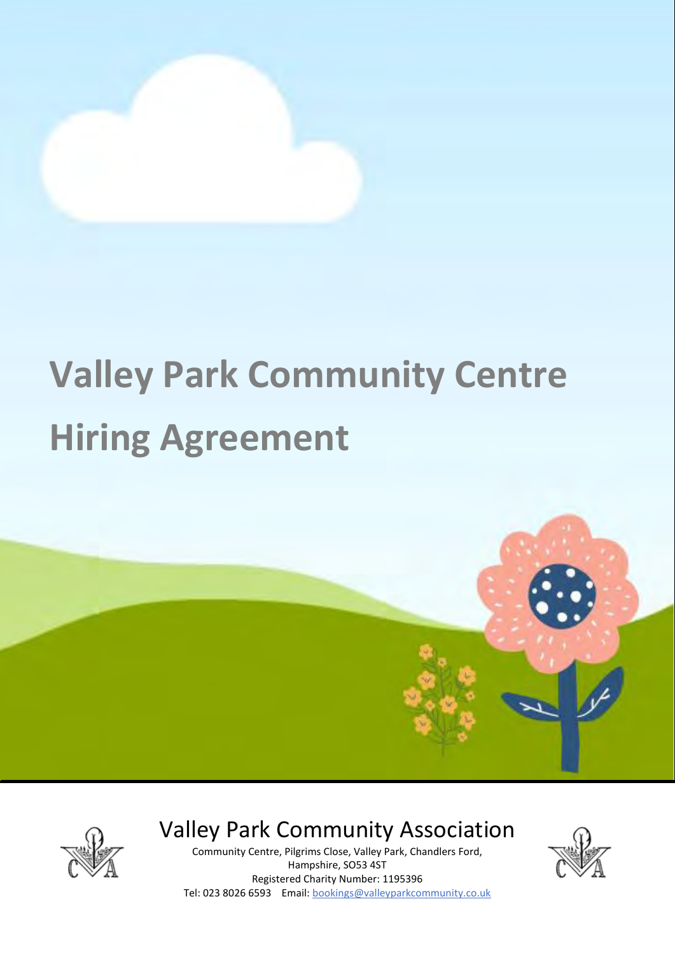

# **Valley Park Community Centre Hiring Agreement**



Valley Park Community Association

Community Centre, Pilgrims Close, Valley Park, Chandlers Ford, Hampshire, SO53 4ST Registered Charity Number: 1195396 Tel: 023 8026 6593 Email: bookings@valleyparkcommunity.co.uk

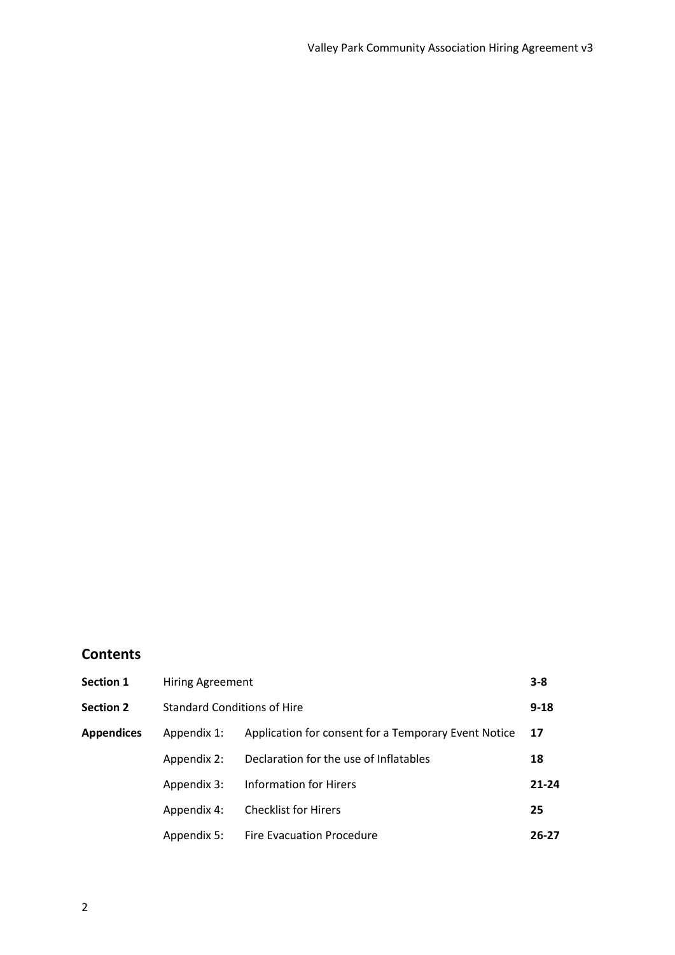# **Contents**

| <b>Section 1</b>  | <b>Hiring Agreement</b>            |                                                      | $3 - 8$   |
|-------------------|------------------------------------|------------------------------------------------------|-----------|
| <b>Section 2</b>  | <b>Standard Conditions of Hire</b> |                                                      | $9 - 18$  |
| <b>Appendices</b> | Appendix 1:                        | Application for consent for a Temporary Event Notice | 17        |
|                   | Appendix 2:                        | Declaration for the use of Inflatables               | 18        |
|                   | Appendix 3:                        | <b>Information for Hirers</b>                        | $21 - 24$ |
|                   | Appendix 4:                        | <b>Checklist for Hirers</b>                          | 25        |
|                   | Appendix 5:                        | Fire Evacuation Procedure                            | $26 - 27$ |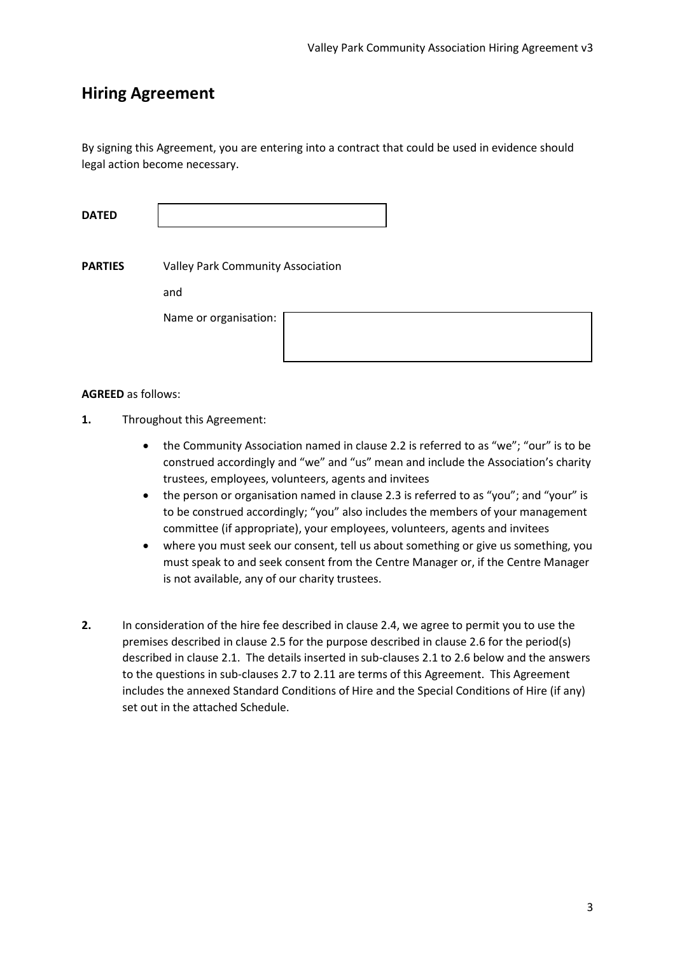# **Hiring Agreement**

By signing this Agreement, you are entering into a contract that could be used in evidence should legal action become necessary.

**DATED**

**PARTIES** Valley Park Community Association

and

Name or organisation:

#### **AGREED** as follows:

- **1.** Throughout this Agreement:
	- the Community Association named in clause 2.2 is referred to as "we"; "our" is to be construed accordingly and "we" and "us" mean and include the Association's charity trustees, employees, volunteers, agents and invitees
	- the person or organisation named in clause 2.3 is referred to as "you"; and "your" is to be construed accordingly; "you" also includes the members of your management committee (if appropriate), your employees, volunteers, agents and invitees
	- where you must seek our consent, tell us about something or give us something, you must speak to and seek consent from the Centre Manager or, if the Centre Manager is not available, any of our charity trustees.
- **2.** In consideration of the hire fee described in clause 2.4, we agree to permit you to use the premises described in clause 2.5 for the purpose described in clause 2.6 for the period(s) described in clause 2.1. The details inserted in sub-clauses 2.1 to 2.6 below and the answers to the questions in sub-clauses 2.7 to 2.11 are terms of this Agreement. This Agreement includes the annexed Standard Conditions of Hire and the Special Conditions of Hire (if any) set out in the attached Schedule.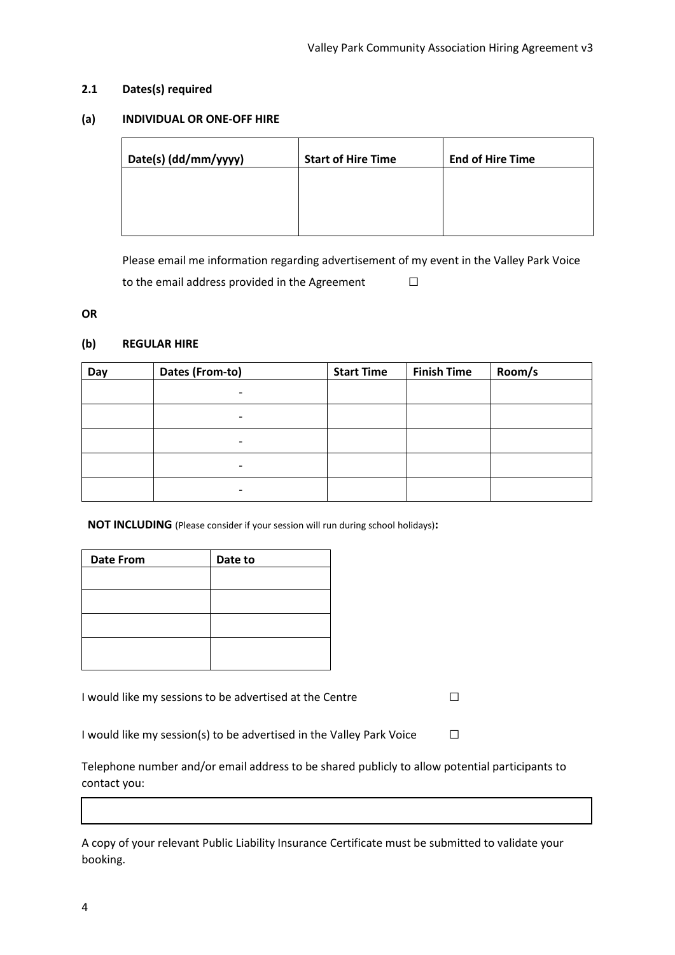#### **2.1 Dates(s) required**

#### **(a) INDIVIDUAL OR ONE-OFF HIRE**

| Date(s) (dd/mm/yyyy) | <b>Start of Hire Time</b> | <b>End of Hire Time</b> |
|----------------------|---------------------------|-------------------------|
|                      |                           |                         |
|                      |                           |                         |

Please email me information regarding advertisement of my event in the Valley Park Voice to the email address provided in the Agreement  $□$ 

#### **OR**

#### **(b) REGULAR HIRE**

| Day | Dates (From-to)          | <b>Start Time</b> | <b>Finish Time</b> | Room/s |
|-----|--------------------------|-------------------|--------------------|--------|
|     | -                        |                   |                    |        |
|     | -                        |                   |                    |        |
|     | $\overline{\phantom{0}}$ |                   |                    |        |
|     |                          |                   |                    |        |
|     | -                        |                   |                    |        |

**NOT INCLUDING** (Please consider if your session will run during school holidays)**:**

| <b>Date From</b> | Date to |
|------------------|---------|
|                  |         |
|                  |         |
|                  |         |
|                  |         |

I would like my sessions to be advertised at the Centre  $□$ 

I would like my session(s) to be advertised in the Valley Park Voice  $\Box$ 

Telephone number and/or email address to be shared publicly to allow potential participants to contact you:

A copy of your relevant Public Liability Insurance Certificate must be submitted to validate your booking.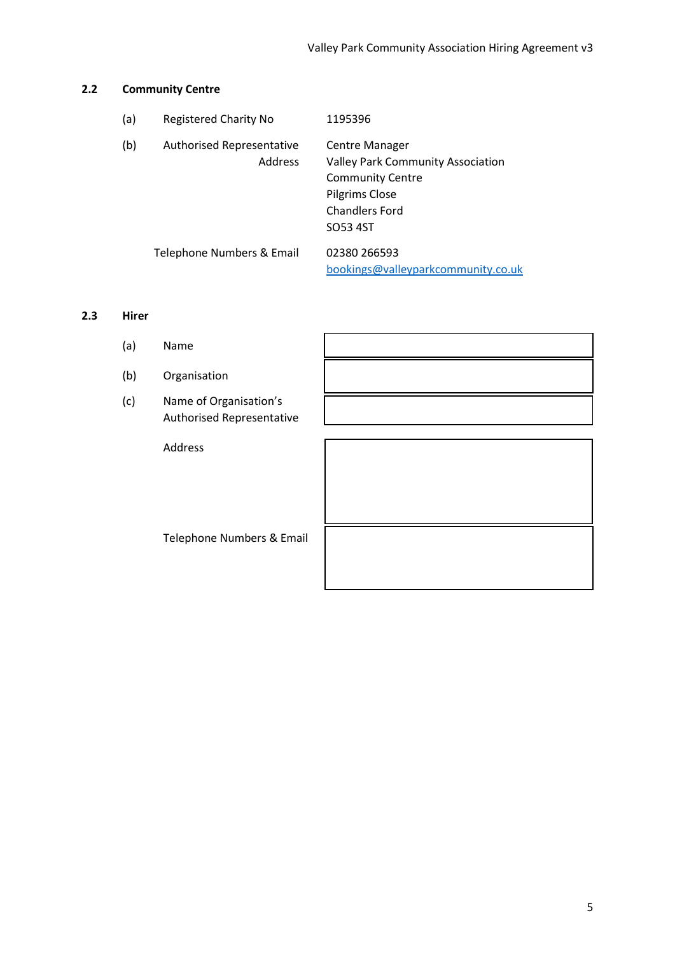#### **2.2 Community Centre**

| (a) | <b>Registered Charity No</b>                       | 1195396                                                                                                                                      |
|-----|----------------------------------------------------|----------------------------------------------------------------------------------------------------------------------------------------------|
| (b) | <b>Authorised Representative</b><br><b>Address</b> | Centre Manager<br><b>Valley Park Community Association</b><br><b>Community Centre</b><br>Pilgrims Close<br><b>Chandlers Ford</b><br>SO53 4ST |
|     | Telephone Numbers & Email                          | 02380 266593<br>bookings@valleyparkcommunity.co.uk                                                                                           |

#### **2.3 Hirer**

(a) Name (b) Organisation (c) Name of Organisation's Authorised Representative Address Telephone Numbers & Email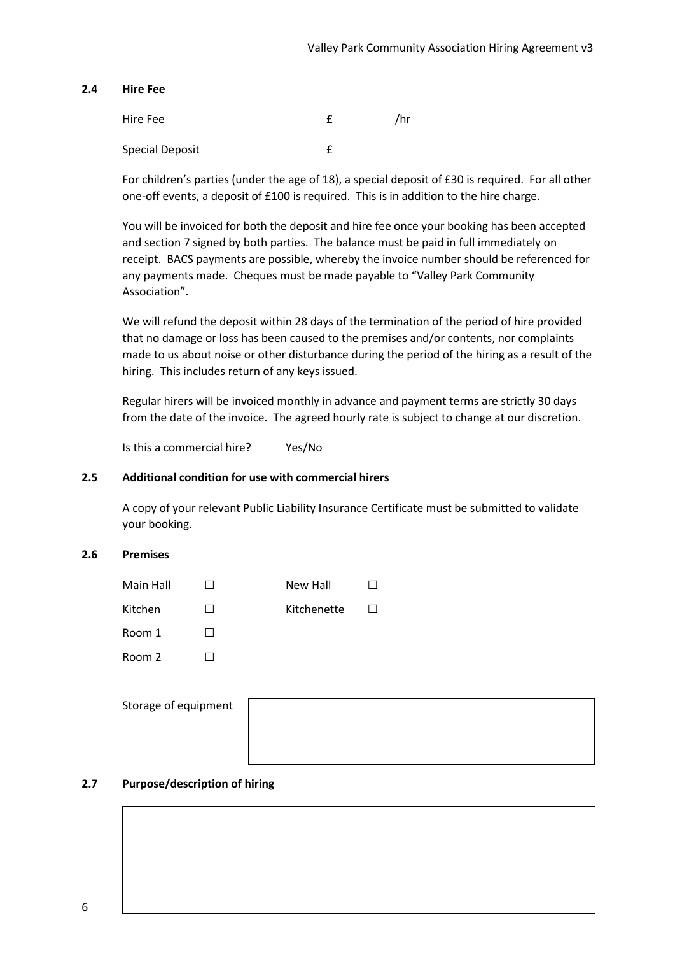#### **2.4 Hire Fee**

| Hire Fee        | /hr |
|-----------------|-----|
| Special Deposit |     |

For children's parties (under the age of 18), a special deposit of £30 is required. For all other one-off events, a deposit of £100 is required. This is in addition to the hire charge.

You will be invoiced for both the deposit and hire fee once your booking has been accepted and section 7 signed by both parties. The balance must be paid in full immediately on receipt. BACS payments are possible, whereby the invoice number should be referenced for any payments made. Cheques must be made payable to "Valley Park Community Association".

We will refund the deposit within 28 days of the termination of the period of hire provided that no damage or loss has been caused to the premises and/or contents, nor complaints made to us about noise or other disturbance during the period of the hiring as a result of the hiring. This includes return of any keys issued.

Regular hirers will be invoiced monthly in advance and payment terms are strictly 30 days from the date of the invoice. The agreed hourly rate is subject to change at our discretion.

Is this a commercial hire? Yes/No

#### **2.5 Additional condition for use with commercial hirers**

A copy of your relevant Public Liability Insurance Certificate must be submitted to validate your booking.

#### **2.6 Premises**

| Main Hall | New Hall    |  |
|-----------|-------------|--|
| Kitchen   | Kitchenette |  |
| Room 1    |             |  |
| Room 2    |             |  |

| Storage of equipment |  |  |
|----------------------|--|--|
|                      |  |  |
|                      |  |  |
|                      |  |  |

#### **2.7 Purpose/description of hiring**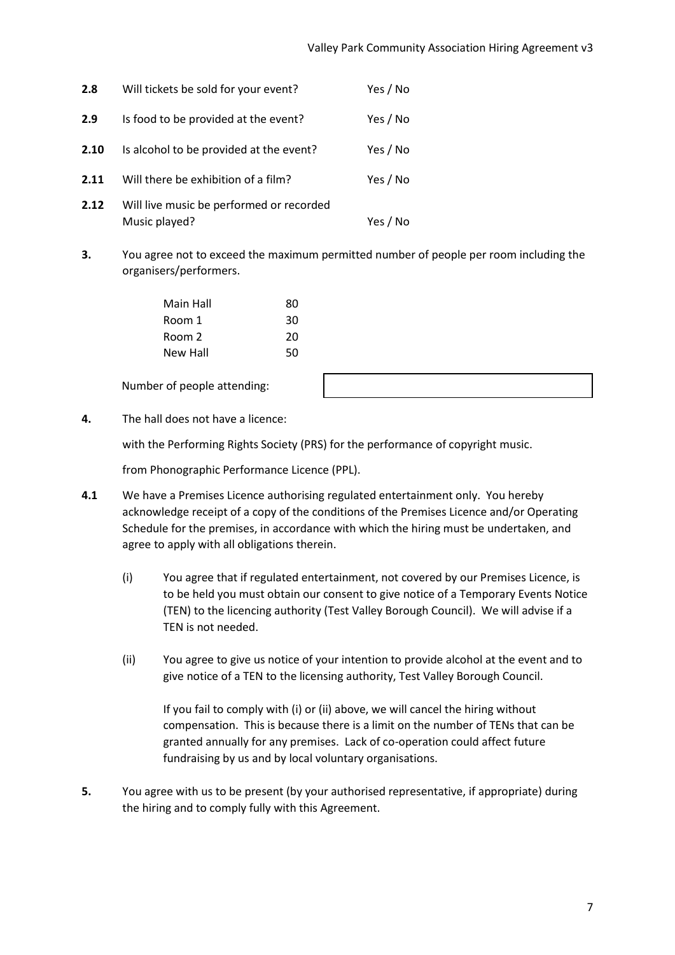| 2.8  | Will tickets be sold for your event?                      | Yes / No |
|------|-----------------------------------------------------------|----------|
| 2.9  | Is food to be provided at the event?                      | Yes / No |
| 2.10 | Is alcohol to be provided at the event?                   | Yes / No |
| 2.11 | Will there be exhibition of a film?                       | Yes / No |
| 2.12 | Will live music be performed or recorded<br>Music played? | Yes / No |

**3.** You agree not to exceed the maximum permitted number of people per room including the organisers/performers.

| Main Hall | 80 |
|-----------|----|
| Room 1    | 30 |
| Room 2    | 20 |
| New Hall  | 50 |

Number of people attending:



**4.** The hall does not have a licence:

with the Performing Rights Society (PRS) for the performance of copyright music.

from Phonographic Performance Licence (PPL).

- **4.1** We have a Premises Licence authorising regulated entertainment only. You hereby acknowledge receipt of a copy of the conditions of the Premises Licence and/or Operating Schedule for the premises, in accordance with which the hiring must be undertaken, and agree to apply with all obligations therein.
	- (i) You agree that if regulated entertainment, not covered by our Premises Licence, is to be held you must obtain our consent to give notice of a Temporary Events Notice (TEN) to the licencing authority (Test Valley Borough Council). We will advise if a TEN is not needed.
	- (ii) You agree to give us notice of your intention to provide alcohol at the event and to give notice of a TEN to the licensing authority, Test Valley Borough Council.

If you fail to comply with (i) or (ii) above, we will cancel the hiring without compensation. This is because there is a limit on the number of TENs that can be granted annually for any premises. Lack of co-operation could affect future fundraising by us and by local voluntary organisations.

**5.** You agree with us to be present (by your authorised representative, if appropriate) during the hiring and to comply fully with this Agreement.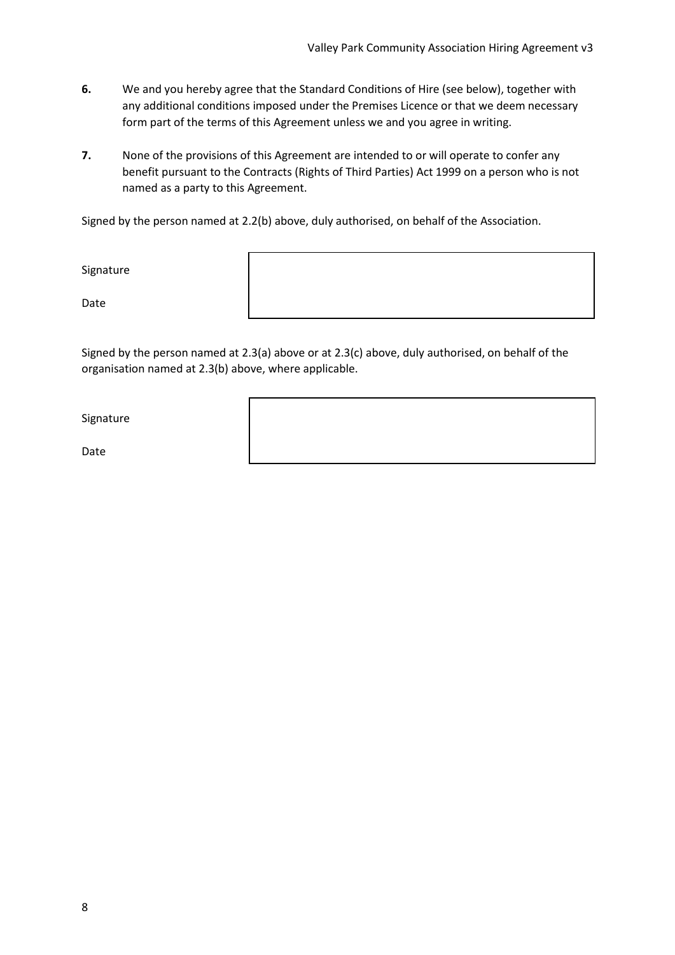- **6.** We and you hereby agree that the Standard Conditions of Hire (see below), together with any additional conditions imposed under the Premises Licence or that we deem necessary form part of the terms of this Agreement unless we and you agree in writing.
- **7.** None of the provisions of this Agreement are intended to or will operate to confer any benefit pursuant to the Contracts (Rights of Third Parties) Act 1999 on a person who is not named as a party to this Agreement.

Signed by the person named at 2.2(b) above, duly authorised, on behalf of the Association.

Signature

Date

Signed by the person named at 2.3(a) above or at 2.3(c) above, duly authorised, on behalf of the organisation named at 2.3(b) above, where applicable.

Signature

Date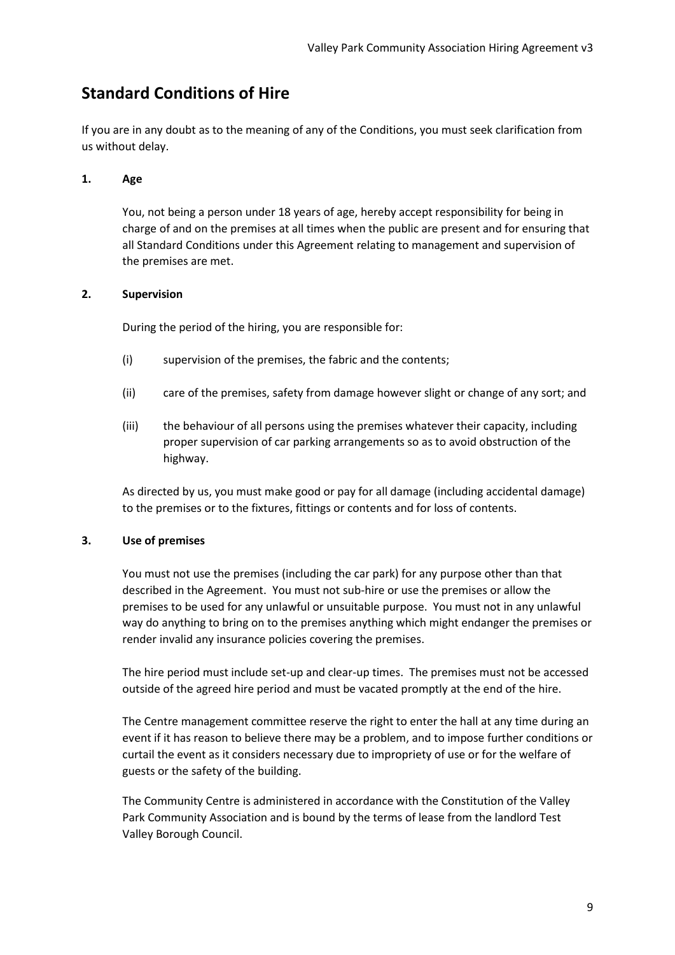# **Standard Conditions of Hire**

If you are in any doubt as to the meaning of any of the Conditions, you must seek clarification from us without delay.

#### **1. Age**

You, not being a person under 18 years of age, hereby accept responsibility for being in charge of and on the premises at all times when the public are present and for ensuring that all Standard Conditions under this Agreement relating to management and supervision of the premises are met.

#### **2. Supervision**

During the period of the hiring, you are responsible for:

- (i) supervision of the premises, the fabric and the contents;
- (ii) care of the premises, safety from damage however slight or change of any sort; and
- (iii) the behaviour of all persons using the premises whatever their capacity, including proper supervision of car parking arrangements so as to avoid obstruction of the highway.

As directed by us, you must make good or pay for all damage (including accidental damage) to the premises or to the fixtures, fittings or contents and for loss of contents.

#### **3. Use of premises**

You must not use the premises (including the car park) for any purpose other than that described in the Agreement. You must not sub-hire or use the premises or allow the premises to be used for any unlawful or unsuitable purpose. You must not in any unlawful way do anything to bring on to the premises anything which might endanger the premises or render invalid any insurance policies covering the premises.

The hire period must include set-up and clear-up times. The premises must not be accessed outside of the agreed hire period and must be vacated promptly at the end of the hire.

The Centre management committee reserve the right to enter the hall at any time during an event if it has reason to believe there may be a problem, and to impose further conditions or curtail the event as it considers necessary due to impropriety of use or for the welfare of guests or the safety of the building.

The Community Centre is administered in accordance with the Constitution of the Valley Park Community Association and is bound by the terms of lease from the landlord Test Valley Borough Council.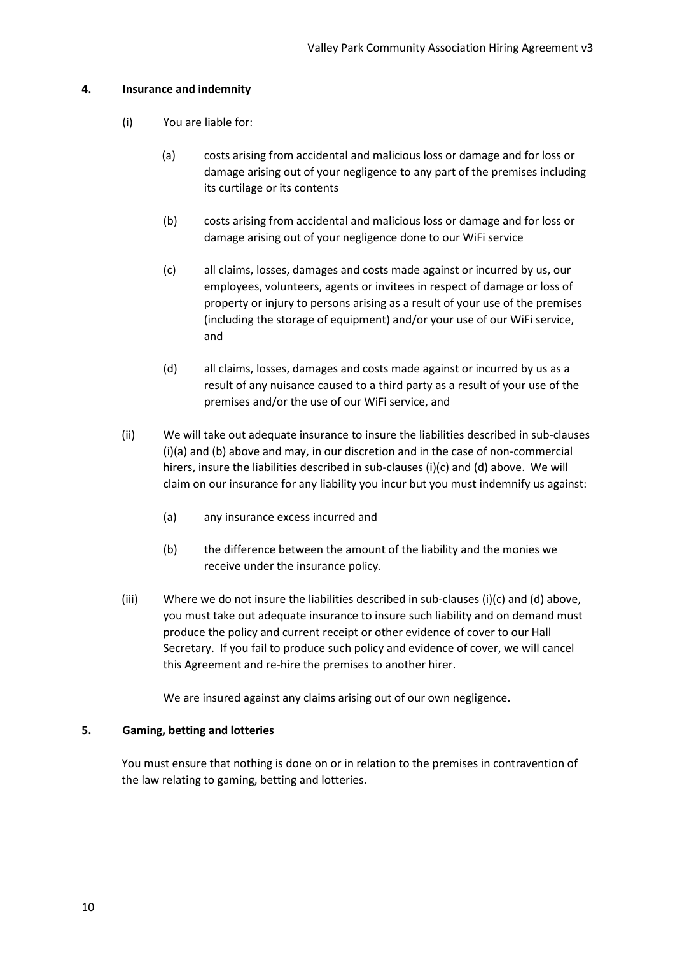#### **4. Insurance and indemnity**

- (i) You are liable for:
	- (a) costs arising from accidental and malicious loss or damage and for loss or damage arising out of your negligence to any part of the premises including its curtilage or its contents
	- (b) costs arising from accidental and malicious loss or damage and for loss or damage arising out of your negligence done to our WiFi service
	- (c) all claims, losses, damages and costs made against or incurred by us, our employees, volunteers, agents or invitees in respect of damage or loss of property or injury to persons arising as a result of your use of the premises (including the storage of equipment) and/or your use of our WiFi service, and
	- (d) all claims, losses, damages and costs made against or incurred by us as a result of any nuisance caused to a third party as a result of your use of the premises and/or the use of our WiFi service, and
- (ii) We will take out adequate insurance to insure the liabilities described in sub-clauses (i)(a) and (b) above and may, in our discretion and in the case of non-commercial hirers, insure the liabilities described in sub-clauses (i)(c) and (d) above. We will claim on our insurance for any liability you incur but you must indemnify us against:
	- (a) any insurance excess incurred and
	- (b) the difference between the amount of the liability and the monies we receive under the insurance policy.
- (iii) Where we do not insure the liabilities described in sub-clauses (i)(c) and (d) above, you must take out adequate insurance to insure such liability and on demand must produce the policy and current receipt or other evidence of cover to our Hall Secretary. If you fail to produce such policy and evidence of cover, we will cancel this Agreement and re-hire the premises to another hirer.

We are insured against any claims arising out of our own negligence.

#### **5. Gaming, betting and lotteries**

You must ensure that nothing is done on or in relation to the premises in contravention of the law relating to gaming, betting and lotteries.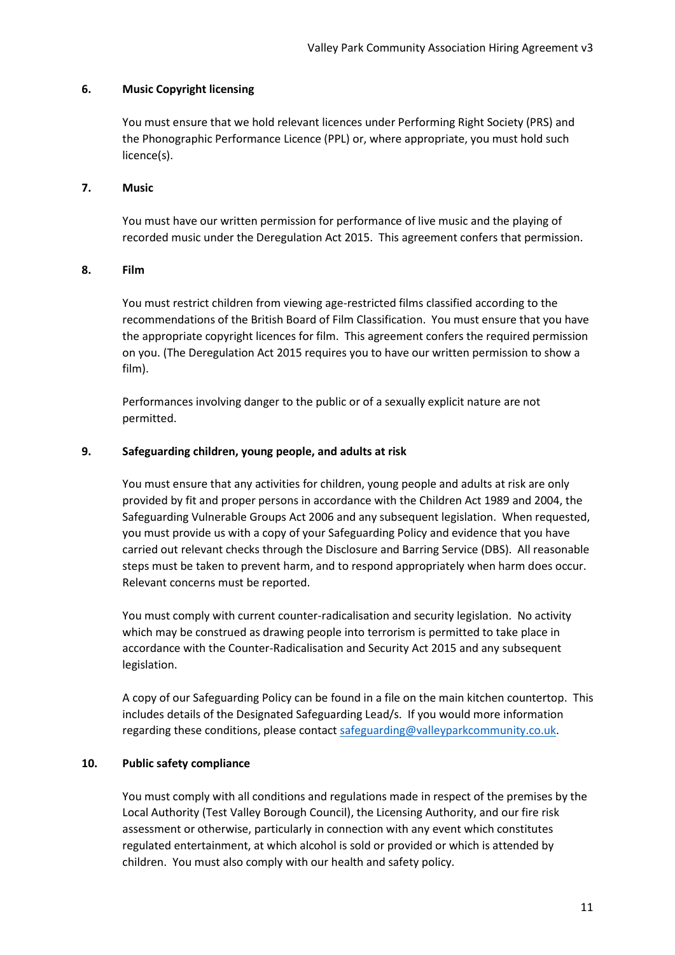#### **6. Music Copyright licensing**

You must ensure that we hold relevant licences under Performing Right Society (PRS) and the Phonographic Performance Licence (PPL) or, where appropriate, you must hold such licence(s).

#### **7. Music**

You must have our written permission for performance of live music and the playing of recorded music under the Deregulation Act 2015. This agreement confers that permission.

#### **8. Film**

You must restrict children from viewing age-restricted films classified according to the recommendations of the British Board of Film Classification. You must ensure that you have the appropriate copyright licences for film. This agreement confers the required permission on you. (The Deregulation Act 2015 requires you to have our written permission to show a film).

Performances involving danger to the public or of a sexually explicit nature are not permitted.

#### **9. Safeguarding children, young people, and adults at risk**

You must ensure that any activities for children, young people and adults at risk are only provided by fit and proper persons in accordance with the Children Act 1989 and 2004, the Safeguarding Vulnerable Groups Act 2006 and any subsequent legislation. When requested, you must provide us with a copy of your Safeguarding Policy and evidence that you have carried out relevant checks through the Disclosure and Barring Service (DBS). All reasonable steps must be taken to prevent harm, and to respond appropriately when harm does occur. Relevant concerns must be reported.

You must comply with current counter-radicalisation and security legislation. No activity which may be construed as drawing people into terrorism is permitted to take place in accordance with the Counter-Radicalisation and Security Act 2015 and any subsequent legislation.

A copy of our Safeguarding Policy can be found in a file on the main kitchen countertop. This includes details of the Designated Safeguarding Lead/s. If you would more information regarding these conditions, please contac[t safeguarding@valleyparkcommunity.co.uk.](mailto:safeguarding@valleyparkcommunity.co.uk)

#### **10. Public safety compliance**

You must comply with all conditions and regulations made in respect of the premises by the Local Authority (Test Valley Borough Council), the Licensing Authority, and our fire risk assessment or otherwise, particularly in connection with any event which constitutes regulated entertainment, at which alcohol is sold or provided or which is attended by children. You must also comply with our health and safety policy.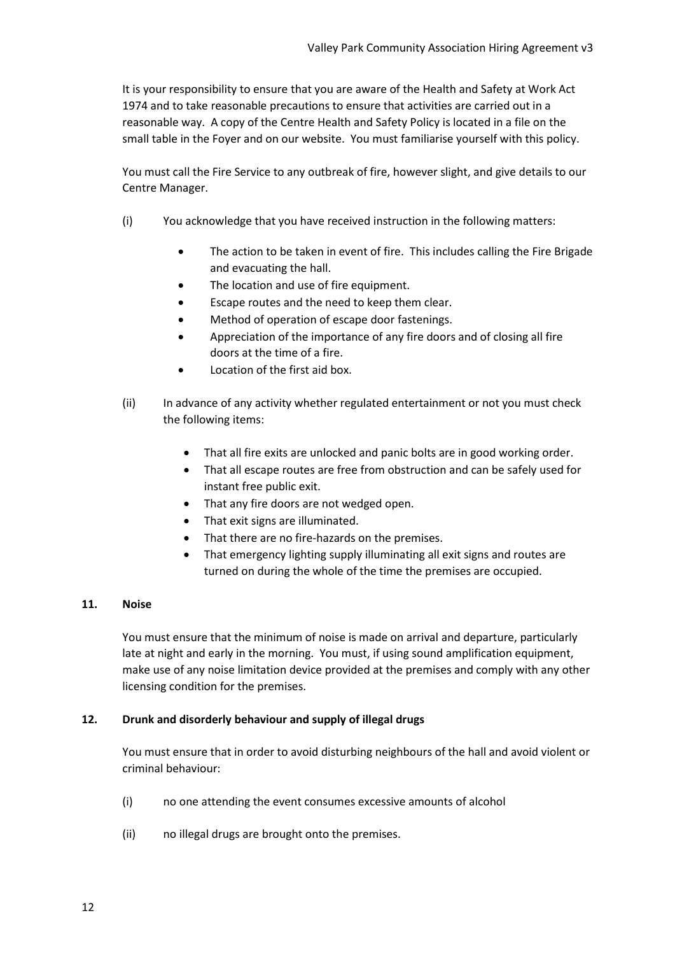It is your responsibility to ensure that you are aware of the Health and Safety at Work Act 1974 and to take reasonable precautions to ensure that activities are carried out in a reasonable way. A copy of the Centre Health and Safety Policy is located in a file on the small table in the Foyer and on our website. You must familiarise yourself with this policy.

You must call the Fire Service to any outbreak of fire, however slight, and give details to our Centre Manager.

- (i) You acknowledge that you have received instruction in the following matters:
	- The action to be taken in event of fire. This includes calling the Fire Brigade and evacuating the hall.
	- The location and use of fire equipment.
	- Escape routes and the need to keep them clear.
	- Method of operation of escape door fastenings.
	- Appreciation of the importance of any fire doors and of closing all fire doors at the time of a fire.
	- Location of the first aid box.
- (ii) In advance of any activity whether regulated entertainment or not you must check the following items:
	- That all fire exits are unlocked and panic bolts are in good working order.
	- That all escape routes are free from obstruction and can be safely used for instant free public exit.
	- That any fire doors are not wedged open.
	- That exit signs are illuminated.
	- That there are no fire-hazards on the premises.
	- That emergency lighting supply illuminating all exit signs and routes are turned on during the whole of the time the premises are occupied.

#### **11. Noise**

You must ensure that the minimum of noise is made on arrival and departure, particularly late at night and early in the morning. You must, if using sound amplification equipment, make use of any noise limitation device provided at the premises and comply with any other licensing condition for the premises.

#### **12. Drunk and disorderly behaviour and supply of illegal drugs**

You must ensure that in order to avoid disturbing neighbours of the hall and avoid violent or criminal behaviour:

- (i) no one attending the event consumes excessive amounts of alcohol
- (ii) no illegal drugs are brought onto the premises.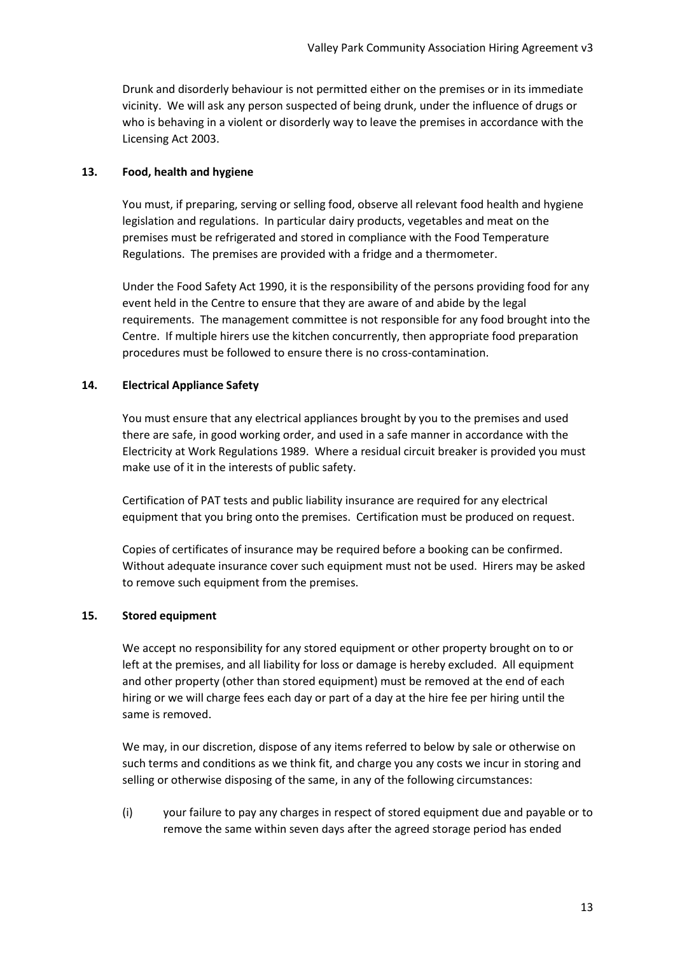Drunk and disorderly behaviour is not permitted either on the premises or in its immediate vicinity. We will ask any person suspected of being drunk, under the influence of drugs or who is behaving in a violent or disorderly way to leave the premises in accordance with the Licensing Act 2003.

#### **13. Food, health and hygiene**

You must, if preparing, serving or selling food, observe all relevant food health and hygiene legislation and regulations. In particular dairy products, vegetables and meat on the premises must be refrigerated and stored in compliance with the Food Temperature Regulations. The premises are provided with a fridge and a thermometer.

Under the Food Safety Act 1990, it is the responsibility of the persons providing food for any event held in the Centre to ensure that they are aware of and abide by the legal requirements. The management committee is not responsible for any food brought into the Centre. If multiple hirers use the kitchen concurrently, then appropriate food preparation procedures must be followed to ensure there is no cross-contamination.

#### **14. Electrical Appliance Safety**

You must ensure that any electrical appliances brought by you to the premises and used there are safe, in good working order, and used in a safe manner in accordance with the Electricity at Work Regulations 1989. Where a residual circuit breaker is provided you must make use of it in the interests of public safety.

Certification of PAT tests and public liability insurance are required for any electrical equipment that you bring onto the premises. Certification must be produced on request.

Copies of certificates of insurance may be required before a booking can be confirmed. Without adequate insurance cover such equipment must not be used. Hirers may be asked to remove such equipment from the premises.

#### **15. Stored equipment**

We accept no responsibility for any stored equipment or other property brought on to or left at the premises, and all liability for loss or damage is hereby excluded. All equipment and other property (other than stored equipment) must be removed at the end of each hiring or we will charge fees each day or part of a day at the hire fee per hiring until the same is removed.

We may, in our discretion, dispose of any items referred to below by sale or otherwise on such terms and conditions as we think fit, and charge you any costs we incur in storing and selling or otherwise disposing of the same, in any of the following circumstances:

(i) your failure to pay any charges in respect of stored equipment due and payable or to remove the same within seven days after the agreed storage period has ended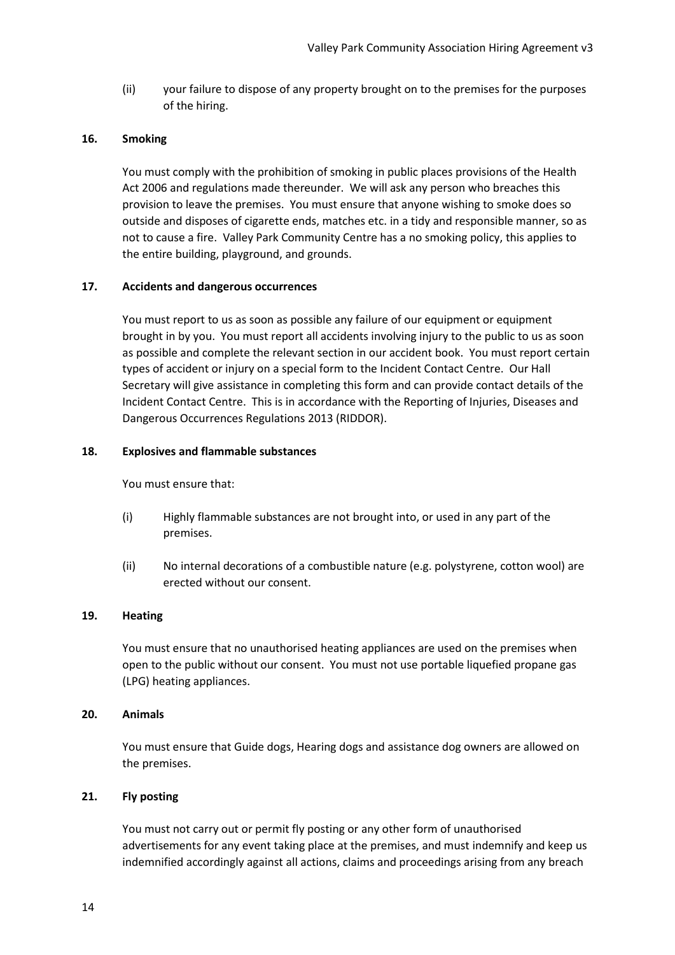(ii) your failure to dispose of any property brought on to the premises for the purposes of the hiring.

#### **16. Smoking**

You must comply with the prohibition of smoking in public places provisions of the Health Act 2006 and regulations made thereunder. We will ask any person who breaches this provision to leave the premises. You must ensure that anyone wishing to smoke does so outside and disposes of cigarette ends, matches etc. in a tidy and responsible manner, so as not to cause a fire. Valley Park Community Centre has a no smoking policy, this applies to the entire building, playground, and grounds.

#### **17. Accidents and dangerous occurrences**

You must report to us as soon as possible any failure of our equipment or equipment brought in by you. You must report all accidents involving injury to the public to us as soon as possible and complete the relevant section in our accident book. You must report certain types of accident or injury on a special form to the Incident Contact Centre. Our Hall Secretary will give assistance in completing this form and can provide contact details of the Incident Contact Centre. This is in accordance with the Reporting of Injuries, Diseases and Dangerous Occurrences Regulations 2013 (RIDDOR).

#### **18. Explosives and flammable substances**

You must ensure that:

- (i) Highly flammable substances are not brought into, or used in any part of the premises.
- (ii) No internal decorations of a combustible nature (e.g. polystyrene, cotton wool) are erected without our consent.

#### **19. Heating**

You must ensure that no unauthorised heating appliances are used on the premises when open to the public without our consent. You must not use portable liquefied propane gas (LPG) heating appliances.

#### **20. Animals**

You must ensure that Guide dogs, Hearing dogs and assistance dog owners are allowed on the premises.

#### **21. Fly posting**

You must not carry out or permit fly posting or any other form of unauthorised advertisements for any event taking place at the premises, and must indemnify and keep us indemnified accordingly against all actions, claims and proceedings arising from any breach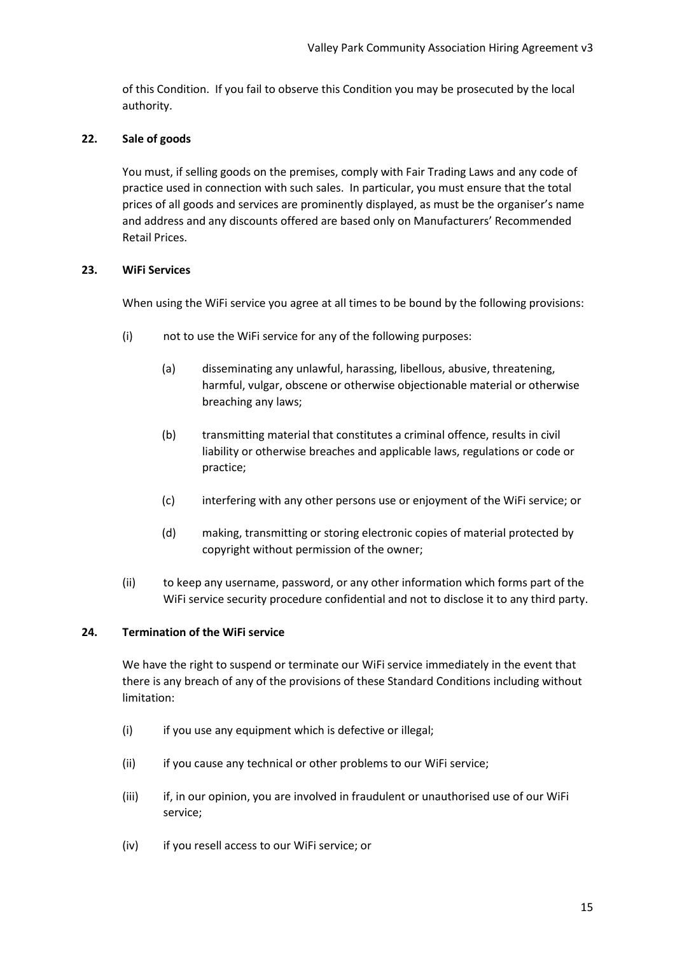of this Condition. If you fail to observe this Condition you may be prosecuted by the local authority.

#### **22. Sale of goods**

You must, if selling goods on the premises, comply with Fair Trading Laws and any code of practice used in connection with such sales. In particular, you must ensure that the total prices of all goods and services are prominently displayed, as must be the organiser's name and address and any discounts offered are based only on Manufacturers' Recommended Retail Prices.

#### **23. WiFi Services**

When using the WiFi service you agree at all times to be bound by the following provisions:

- (i) not to use the WiFi service for any of the following purposes:
	- (a) disseminating any unlawful, harassing, libellous, abusive, threatening, harmful, vulgar, obscene or otherwise objectionable material or otherwise breaching any laws;
	- (b) transmitting material that constitutes a criminal offence, results in civil liability or otherwise breaches and applicable laws, regulations or code or practice;
	- (c) interfering with any other persons use or enjoyment of the WiFi service; or
	- (d) making, transmitting or storing electronic copies of material protected by copyright without permission of the owner;
- (ii) to keep any username, password, or any other information which forms part of the WiFi service security procedure confidential and not to disclose it to any third party.

#### **24. Termination of the WiFi service**

We have the right to suspend or terminate our WiFi service immediately in the event that there is any breach of any of the provisions of these Standard Conditions including without limitation:

- (i) if you use any equipment which is defective or illegal;
- (ii) if you cause any technical or other problems to our WiFi service;
- (iii) if, in our opinion, you are involved in fraudulent or unauthorised use of our WiFi service;
- (iv) if you resell access to our WiFi service; or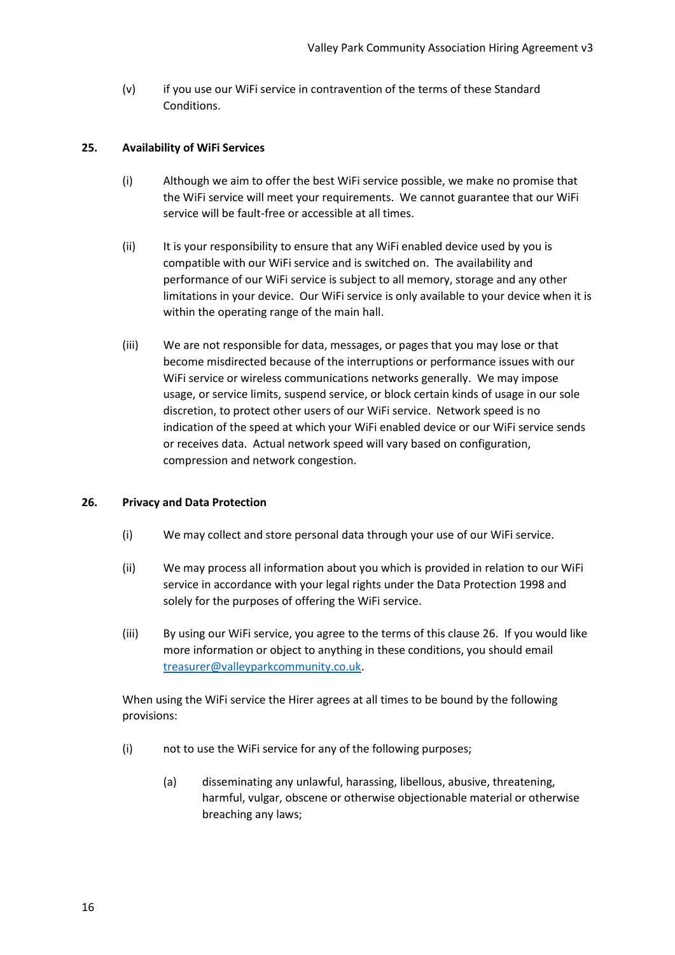(v) if you use our WiFi service in contravention of the terms of these Standard Conditions.

#### **25. Availability of WiFi Services**

- (i) Although we aim to offer the best WiFi service possible, we make no promise that the WiFi service will meet your requirements. We cannot guarantee that our WiFi service will be fault-free or accessible at all times.
- (ii) It is your responsibility to ensure that any WiFi enabled device used by you is compatible with our WiFi service and is switched on. The availability and performance of our WiFi service is subject to all memory, storage and any other limitations in your device. Our WiFi service is only available to your device when it is within the operating range of the main hall.
- (iii) We are not responsible for data, messages, or pages that you may lose or that become misdirected because of the interruptions or performance issues with our WiFi service or wireless communications networks generally. We may impose usage, or service limits, suspend service, or block certain kinds of usage in our sole discretion, to protect other users of our WiFi service. Network speed is no indication of the speed at which your WiFi enabled device or our WiFi service sends or receives data. Actual network speed will vary based on configuration, compression and network congestion.

#### **26. Privacy and Data Protection**

- (i) We may collect and store personal data through your use of our WiFi service.
- (ii) We may process all information about you which is provided in relation to our WiFi service in accordance with your legal rights under the Data Protection 1998 and solely for the purposes of offering the WiFi service.
- (iii) By using our WiFi service, you agree to the terms of this clause 26. If you would like more information or object to anything in these conditions, you should email [treasurer@valleyparkcommunity.co.uk.](mailto:treasurer@valleyparkcommunity.co.uk)

When using the WiFi service the Hirer agrees at all times to be bound by the following provisions:

- (i) not to use the WiFi service for any of the following purposes;
	- (a) disseminating any unlawful, harassing, libellous, abusive, threatening, harmful, vulgar, obscene or otherwise objectionable material or otherwise breaching any laws;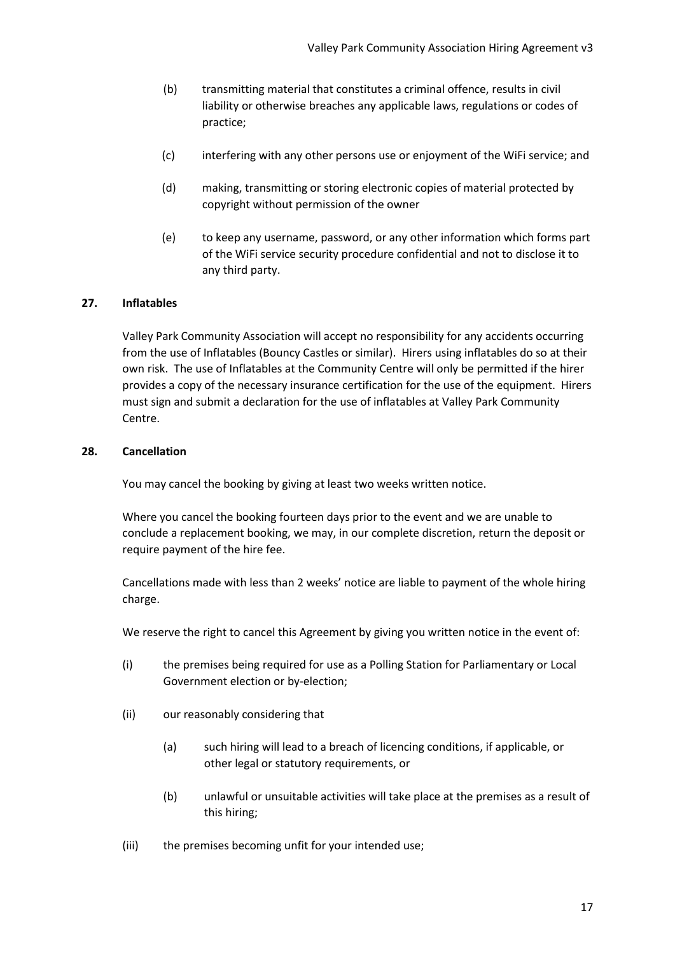- (b) transmitting material that constitutes a criminal offence, results in civil liability or otherwise breaches any applicable laws, regulations or codes of practice;
- (c) interfering with any other persons use or enjoyment of the WiFi service; and
- (d) making, transmitting or storing electronic copies of material protected by copyright without permission of the owner
- (e) to keep any username, password, or any other information which forms part of the WiFi service security procedure confidential and not to disclose it to any third party.

#### **27. Inflatables**

Valley Park Community Association will accept no responsibility for any accidents occurring from the use of Inflatables (Bouncy Castles or similar). Hirers using inflatables do so at their own risk. The use of Inflatables at the Community Centre will only be permitted if the hirer provides a copy of the necessary insurance certification for the use of the equipment. Hirers must sign and submit a declaration for the use of inflatables at Valley Park Community Centre.

#### **28. Cancellation**

You may cancel the booking by giving at least two weeks written notice.

Where you cancel the booking fourteen days prior to the event and we are unable to conclude a replacement booking, we may, in our complete discretion, return the deposit or require payment of the hire fee.

Cancellations made with less than 2 weeks' notice are liable to payment of the whole hiring charge.

We reserve the right to cancel this Agreement by giving you written notice in the event of:

- (i) the premises being required for use as a Polling Station for Parliamentary or Local Government election or by-election;
- (ii) our reasonably considering that
	- (a) such hiring will lead to a breach of licencing conditions, if applicable, or other legal or statutory requirements, or
	- (b) unlawful or unsuitable activities will take place at the premises as a result of this hiring;
- (iii) the premises becoming unfit for your intended use;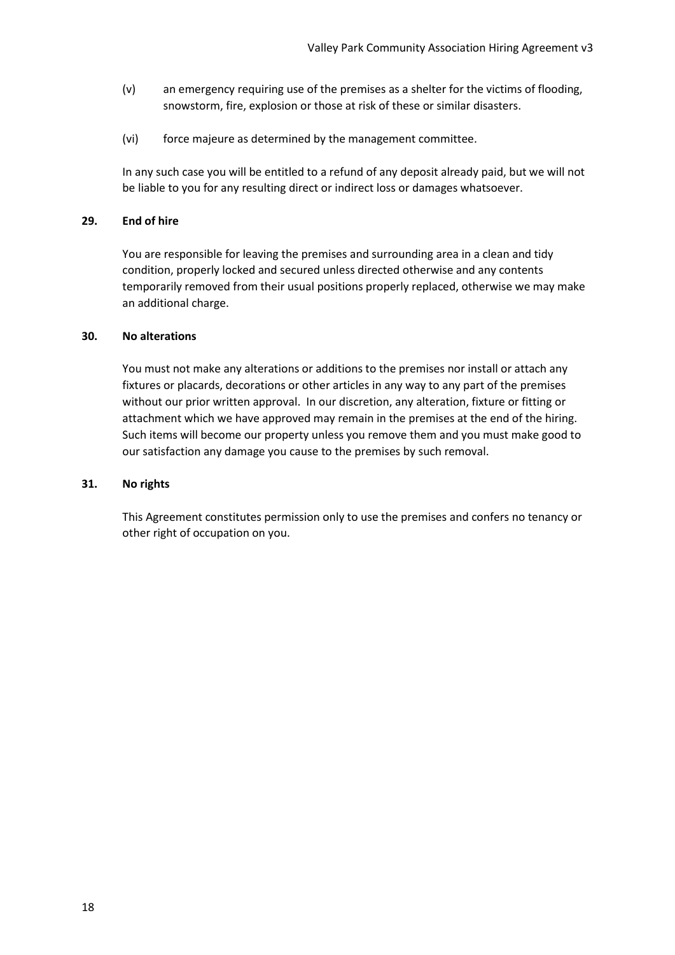- (v) an emergency requiring use of the premises as a shelter for the victims of flooding, snowstorm, fire, explosion or those at risk of these or similar disasters.
- (vi) force majeure as determined by the management committee.

In any such case you will be entitled to a refund of any deposit already paid, but we will not be liable to you for any resulting direct or indirect loss or damages whatsoever.

#### **29. End of hire**

You are responsible for leaving the premises and surrounding area in a clean and tidy condition, properly locked and secured unless directed otherwise and any contents temporarily removed from their usual positions properly replaced, otherwise we may make an additional charge.

#### **30. No alterations**

You must not make any alterations or additions to the premises nor install or attach any fixtures or placards, decorations or other articles in any way to any part of the premises without our prior written approval. In our discretion, any alteration, fixture or fitting or attachment which we have approved may remain in the premises at the end of the hiring. Such items will become our property unless you remove them and you must make good to our satisfaction any damage you cause to the premises by such removal.

#### **31. No rights**

This Agreement constitutes permission only to use the premises and confers no tenancy or other right of occupation on you.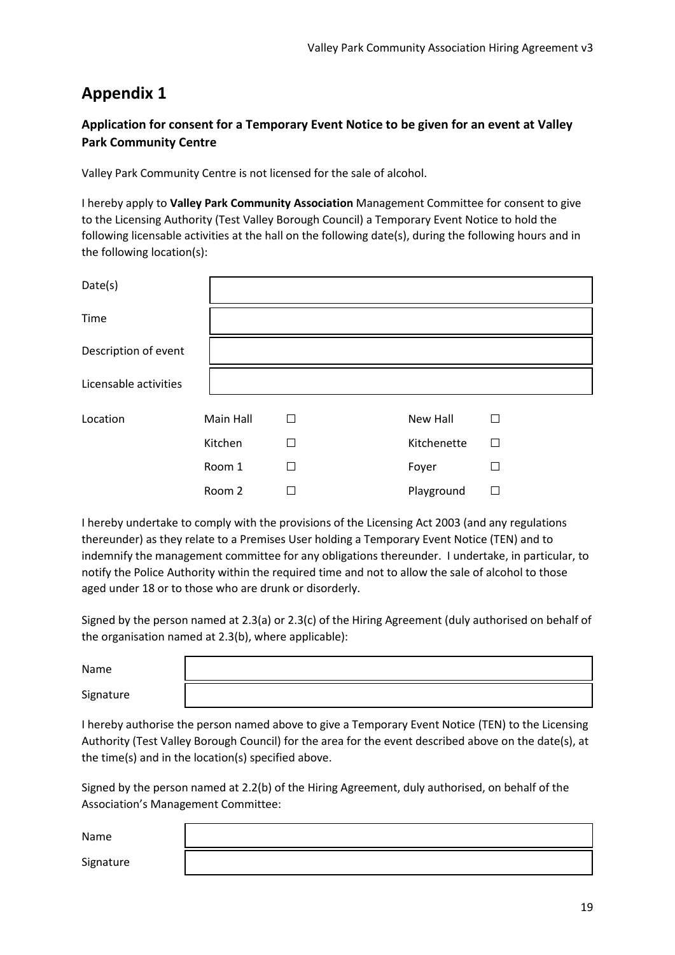#### **Application for consent for a Temporary Event Notice to be given for an event at Valley Park Community Centre**

Valley Park Community Centre is not licensed for the sale of alcohol.

I hereby apply to **Valley Park Community Association** Management Committee for consent to give to the Licensing Authority (Test Valley Borough Council) a Temporary Event Notice to hold the following licensable activities at the hall on the following date(s), during the following hours and in the following location(s):

| Date(s)               |           |   |             |              |
|-----------------------|-----------|---|-------------|--------------|
| Time                  |           |   |             |              |
| Description of event  |           |   |             |              |
| Licensable activities |           |   |             |              |
| Location              | Main Hall | П | New Hall    | П            |
|                       | Kitchen   | П | Kitchenette | $\mathbf{L}$ |
|                       | Room 1    | П | Foyer       |              |
|                       | Room 2    |   | Playground  |              |

I hereby undertake to comply with the provisions of the Licensing Act 2003 (and any regulations thereunder) as they relate to a Premises User holding a Temporary Event Notice (TEN) and to indemnify the management committee for any obligations thereunder. I undertake, in particular, to notify the Police Authority within the required time and not to allow the sale of alcohol to those aged under 18 or to those who are drunk or disorderly.

Signed by the person named at 2.3(a) or 2.3(c) of the Hiring Agreement (duly authorised on behalf of the organisation named at 2.3(b), where applicable):

| Name      |  |
|-----------|--|
| Signature |  |

I hereby authorise the person named above to give a Temporary Event Notice (TEN) to the Licensing Authority (Test Valley Borough Council) for the area for the event described above on the date(s), at the time(s) and in the location(s) specified above.

Signed by the person named at 2.2(b) of the Hiring Agreement, duly authorised, on behalf of the Association's Management Committee:

Name

Signature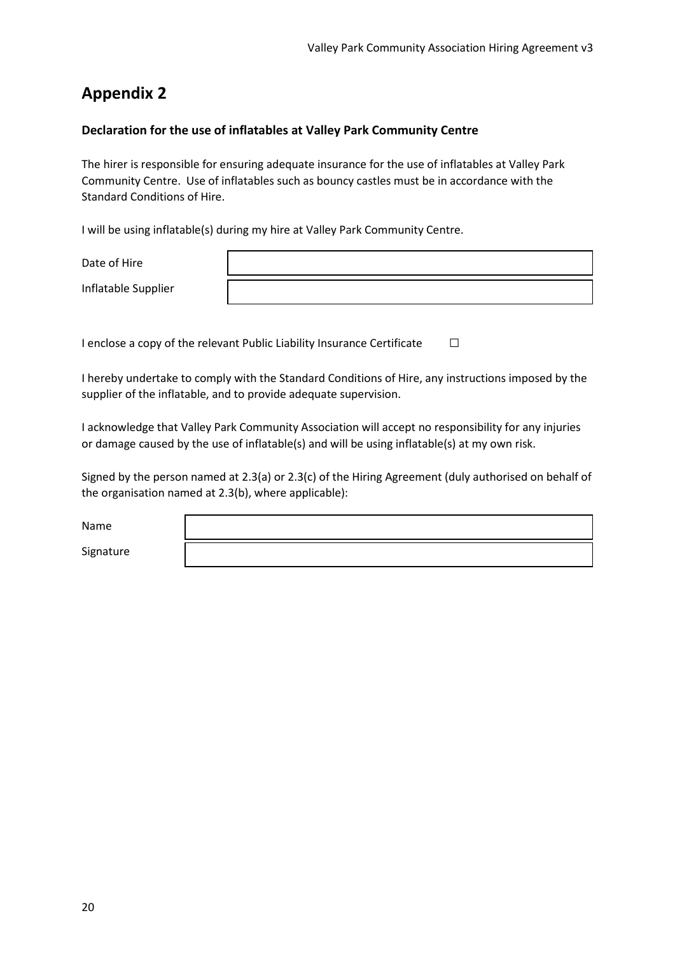#### **Declaration for the use of inflatables at Valley Park Community Centre**

The hirer is responsible for ensuring adequate insurance for the use of inflatables at Valley Park Community Centre. Use of inflatables such as bouncy castles must be in accordance with the Standard Conditions of Hire.

I will be using inflatable(s) during my hire at Valley Park Community Centre.

Date of Hire

Inflatable Supplier

I enclose a copy of the relevant Public Liability Insurance Certificate  $□$ 

I hereby undertake to comply with the Standard Conditions of Hire, any instructions imposed by the supplier of the inflatable, and to provide adequate supervision.

I acknowledge that Valley Park Community Association will accept no responsibility for any injuries or damage caused by the use of inflatable(s) and will be using inflatable(s) at my own risk.

Signed by the person named at 2.3(a) or 2.3(c) of the Hiring Agreement (duly authorised on behalf of the organisation named at 2.3(b), where applicable):

Name

Signature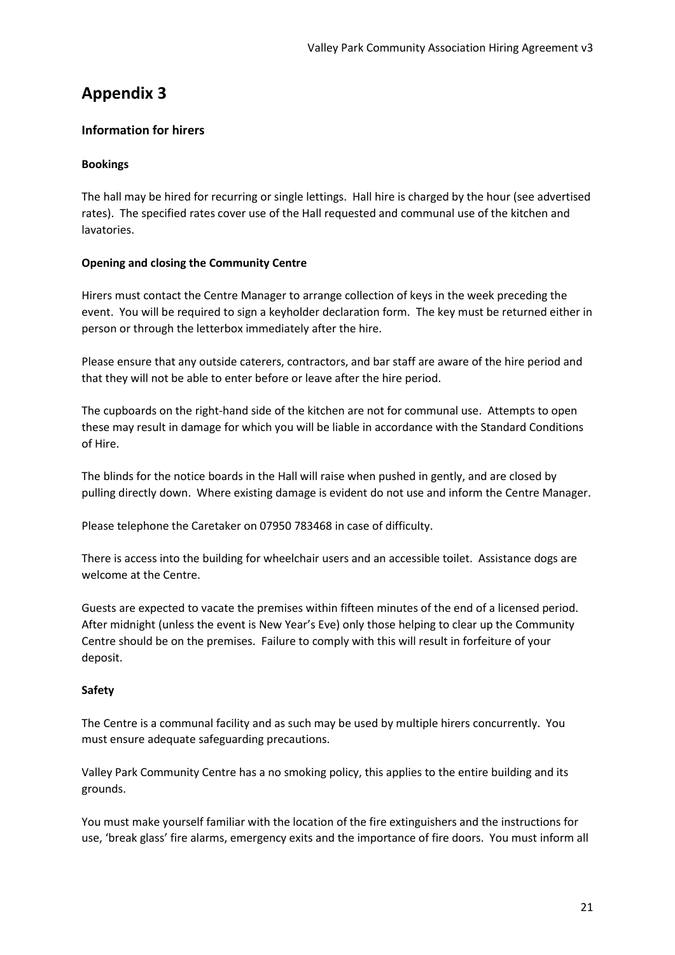#### **Information for hirers**

#### **Bookings**

The hall may be hired for recurring or single lettings. Hall hire is charged by the hour (see advertised rates). The specified rates cover use of the Hall requested and communal use of the kitchen and lavatories.

#### **Opening and closing the Community Centre**

Hirers must contact the Centre Manager to arrange collection of keys in the week preceding the event. You will be required to sign a keyholder declaration form. The key must be returned either in person or through the letterbox immediately after the hire.

Please ensure that any outside caterers, contractors, and bar staff are aware of the hire period and that they will not be able to enter before or leave after the hire period.

The cupboards on the right-hand side of the kitchen are not for communal use. Attempts to open these may result in damage for which you will be liable in accordance with the Standard Conditions of Hire.

The blinds for the notice boards in the Hall will raise when pushed in gently, and are closed by pulling directly down. Where existing damage is evident do not use and inform the Centre Manager.

Please telephone the Caretaker on 07950 783468 in case of difficulty.

There is access into the building for wheelchair users and an accessible toilet. Assistance dogs are welcome at the Centre.

Guests are expected to vacate the premises within fifteen minutes of the end of a licensed period. After midnight (unless the event is New Year's Eve) only those helping to clear up the Community Centre should be on the premises. Failure to comply with this will result in forfeiture of your deposit.

#### **Safety**

The Centre is a communal facility and as such may be used by multiple hirers concurrently. You must ensure adequate safeguarding precautions.

Valley Park Community Centre has a no smoking policy, this applies to the entire building and its grounds.

You must make yourself familiar with the location of the fire extinguishers and the instructions for use, 'break glass' fire alarms, emergency exits and the importance of fire doors. You must inform all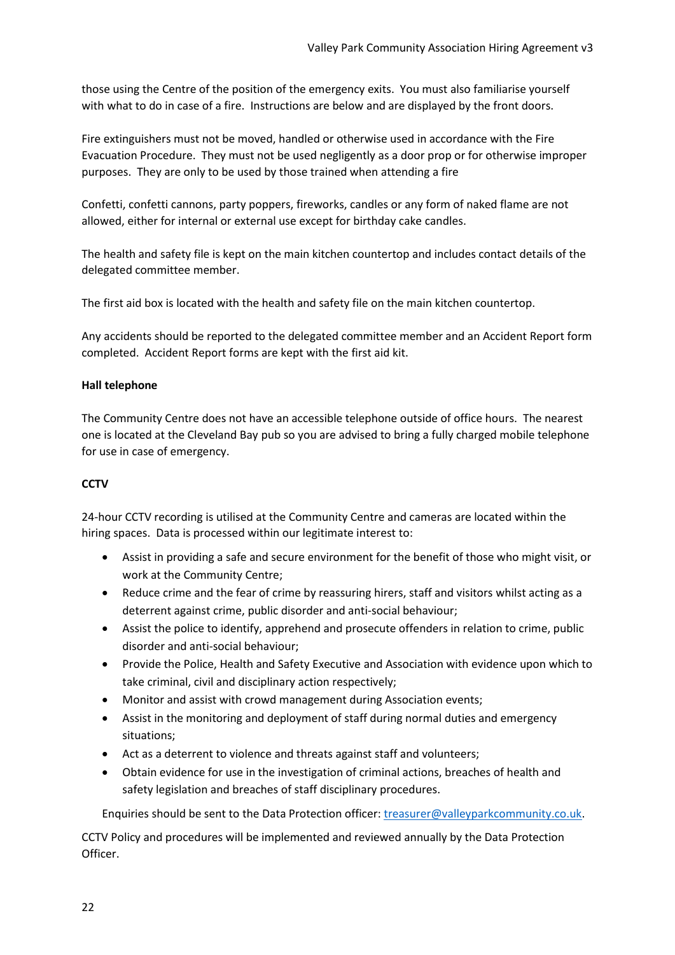those using the Centre of the position of the emergency exits. You must also familiarise yourself with what to do in case of a fire. Instructions are below and are displayed by the front doors.

Fire extinguishers must not be moved, handled or otherwise used in accordance with the Fire Evacuation Procedure. They must not be used negligently as a door prop or for otherwise improper purposes. They are only to be used by those trained when attending a fire

Confetti, confetti cannons, party poppers, fireworks, candles or any form of naked flame are not allowed, either for internal or external use except for birthday cake candles.

The health and safety file is kept on the main kitchen countertop and includes contact details of the delegated committee member.

The first aid box is located with the health and safety file on the main kitchen countertop.

Any accidents should be reported to the delegated committee member and an Accident Report form completed. Accident Report forms are kept with the first aid kit.

#### **Hall telephone**

The Community Centre does not have an accessible telephone outside of office hours. The nearest one is located at the Cleveland Bay pub so you are advised to bring a fully charged mobile telephone for use in case of emergency.

#### **CCTV**

24-hour CCTV recording is utilised at the Community Centre and cameras are located within the hiring spaces. Data is processed within our legitimate interest to:

- Assist in providing a safe and secure environment for the benefit of those who might visit, or work at the Community Centre;
- Reduce crime and the fear of crime by reassuring hirers, staff and visitors whilst acting as a deterrent against crime, public disorder and anti-social behaviour;
- Assist the police to identify, apprehend and prosecute offenders in relation to crime, public disorder and anti-social behaviour;
- Provide the Police, Health and Safety Executive and Association with evidence upon which to take criminal, civil and disciplinary action respectively;
- Monitor and assist with crowd management during Association events;
- Assist in the monitoring and deployment of staff during normal duties and emergency situations;
- Act as a deterrent to violence and threats against staff and volunteers;
- Obtain evidence for use in the investigation of criminal actions, breaches of health and safety legislation and breaches of staff disciplinary procedures.

Enquiries should be sent to the Data Protection officer: [treasurer@valleyparkcommunity.co.uk.](mailto:treasurer@valleyparkcommunity.co.uk)

CCTV Policy and procedures will be implemented and reviewed annually by the Data Protection Officer.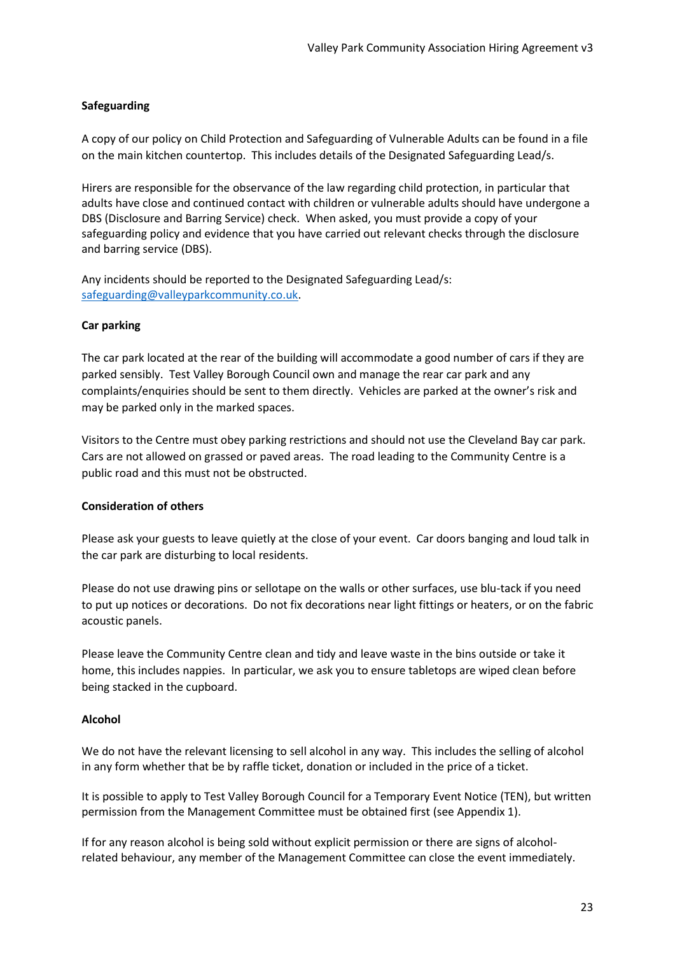#### **Safeguarding**

A copy of our policy on Child Protection and Safeguarding of Vulnerable Adults can be found in a file on the main kitchen countertop. This includes details of the Designated Safeguarding Lead/s.

Hirers are responsible for the observance of the law regarding child protection, in particular that adults have close and continued contact with children or vulnerable adults should have undergone a DBS (Disclosure and Barring Service) check. When asked, you must provide a copy of your safeguarding policy and evidence that you have carried out relevant checks through the disclosure and barring service (DBS).

Any incidents should be reported to the Designated Safeguarding Lead/s: [safeguarding@valleyparkcommunity.co.uk.](mailto:safeguarding@valleyparkcommunity.co.uk)

#### **Car parking**

The car park located at the rear of the building will accommodate a good number of cars if they are parked sensibly. Test Valley Borough Council own and manage the rear car park and any complaints/enquiries should be sent to them directly. Vehicles are parked at the owner's risk and may be parked only in the marked spaces.

Visitors to the Centre must obey parking restrictions and should not use the Cleveland Bay car park. Cars are not allowed on grassed or paved areas. The road leading to the Community Centre is a public road and this must not be obstructed.

#### **Consideration of others**

Please ask your guests to leave quietly at the close of your event. Car doors banging and loud talk in the car park are disturbing to local residents.

Please do not use drawing pins or sellotape on the walls or other surfaces, use blu-tack if you need to put up notices or decorations. Do not fix decorations near light fittings or heaters, or on the fabric acoustic panels.

Please leave the Community Centre clean and tidy and leave waste in the bins outside or take it home, this includes nappies. In particular, we ask you to ensure tabletops are wiped clean before being stacked in the cupboard.

#### **Alcohol**

We do not have the relevant licensing to sell alcohol in any way. This includes the selling of alcohol in any form whether that be by raffle ticket, donation or included in the price of a ticket.

It is possible to apply to Test Valley Borough Council for a Temporary Event Notice (TEN), but written permission from the Management Committee must be obtained first (see Appendix 1).

If for any reason alcohol is being sold without explicit permission or there are signs of alcoholrelated behaviour, any member of the Management Committee can close the event immediately.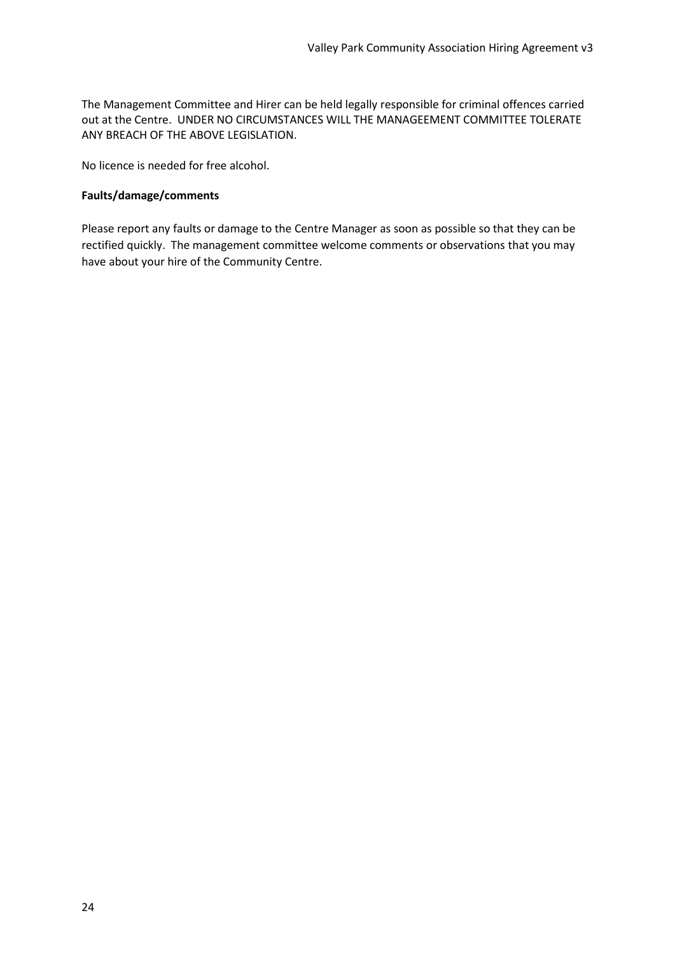The Management Committee and Hirer can be held legally responsible for criminal offences carried out at the Centre. UNDER NO CIRCUMSTANCES WILL THE MANAGEEMENT COMMITTEE TOLERATE ANY BREACH OF THE ABOVE LEGISLATION.

No licence is needed for free alcohol.

#### **Faults/damage/comments**

Please report any faults or damage to the Centre Manager as soon as possible so that they can be rectified quickly. The management committee welcome comments or observations that you may have about your hire of the Community Centre.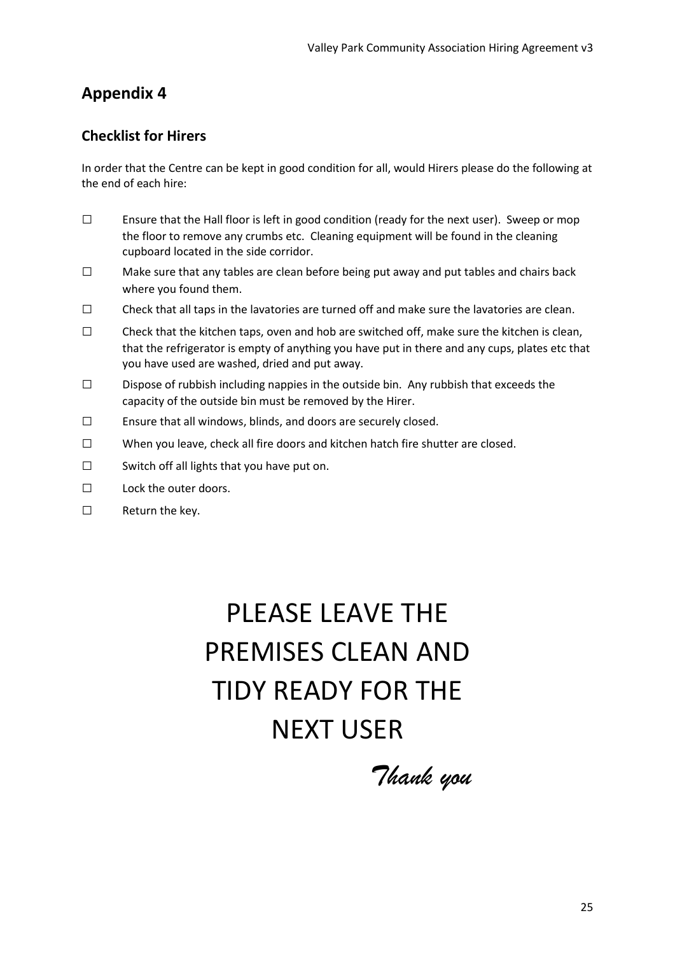## **Checklist for Hirers**

In order that the Centre can be kept in good condition for all, would Hirers please do the following at the end of each hire:

- □ Ensure that the Hall floor is left in good condition (ready for the next user). Sweep or mop the floor to remove any crumbs etc. Cleaning equipment will be found in the cleaning cupboard located in the side corridor.
- $\square$  Make sure that any tables are clean before being put away and put tables and chairs back where you found them.
- □ Check that all taps in the lavatories are turned off and make sure the lavatories are clean.
- $\square$  Check that the kitchen taps, oven and hob are switched off, make sure the kitchen is clean, that the refrigerator is empty of anything you have put in there and any cups, plates etc that you have used are washed, dried and put away.
- $\square$  Dispose of rubbish including nappies in the outside bin. Any rubbish that exceeds the capacity of the outside bin must be removed by the Hirer.
- □ Ensure that all windows, blinds, and doors are securely closed.
- □ When you leave, check all fire doors and kitchen hatch fire shutter are closed.
- $\square$  Switch off all lights that you have put on.
- $\Box$  Lock the outer doors.
- □ Return the key.

# PLEASE LEAVE THE PREMISES CLEAN AND TIDY READY FOR THE NEXT USER

*Thank you*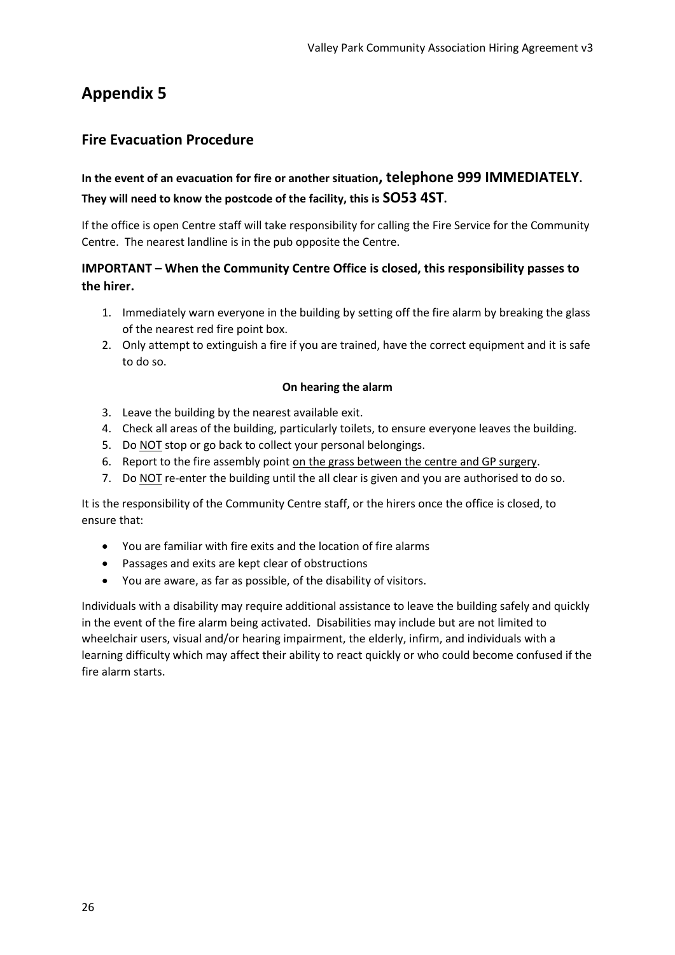## **Fire Evacuation Procedure**

# **In the event of an evacuation for fire or another situation, telephone 999 IMMEDIATELY. They will need to know the postcode of the facility, this is SO53 4ST.**

If the office is open Centre staff will take responsibility for calling the Fire Service for the Community Centre. The nearest landline is in the pub opposite the Centre.

#### **IMPORTANT – When the Community Centre Office is closed, this responsibility passes to the hirer.**

- 1. Immediately warn everyone in the building by setting off the fire alarm by breaking the glass of the nearest red fire point box.
- 2. Only attempt to extinguish a fire if you are trained, have the correct equipment and it is safe to do so.

#### **On hearing the alarm**

- 3. Leave the building by the nearest available exit.
- 4. Check all areas of the building, particularly toilets, to ensure everyone leaves the building.
- 5. Do NOT stop or go back to collect your personal belongings.
- 6. Report to the fire assembly point on the grass between the centre and GP surgery.
- 7. Do NOT re-enter the building until the all clear is given and you are authorised to do so.

It is the responsibility of the Community Centre staff, or the hirers once the office is closed, to ensure that:

- You are familiar with fire exits and the location of fire alarms
- Passages and exits are kept clear of obstructions
- You are aware, as far as possible, of the disability of visitors.

Individuals with a disability may require additional assistance to leave the building safely and quickly in the event of the fire alarm being activated. Disabilities may include but are not limited to wheelchair users, visual and/or hearing impairment, the elderly, infirm, and individuals with a learning difficulty which may affect their ability to react quickly or who could become confused if the fire alarm starts.